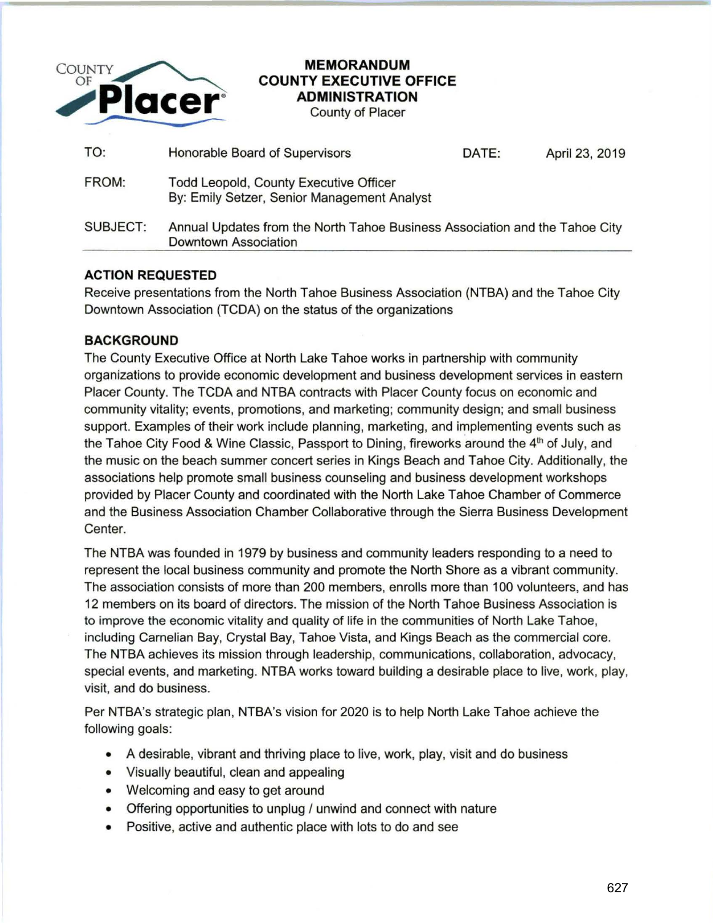

## **MEMORANDUM COUNTY EXECUTIVE OFFICE ADMINISTRATION**

County of Placer

| TO:      | Honorable Board of Supervisors                                                                      | DATE: | April 23, 2019 |
|----------|-----------------------------------------------------------------------------------------------------|-------|----------------|
| FROM:    | <b>Todd Leopold, County Executive Officer</b><br>By: Emily Setzer, Senior Management Analyst        |       |                |
| SUBJECT: | Annual Updates from the North Tahoe Business Association and the Tahoe City<br>Downtown Association |       |                |

## **ACTION REQUESTED**

Receive presentations from the North Tahoe Business Association (NTBA) and the Tahoe City Downtown Association (TCDA) on the status of the organizations

## **BACKGROUND**

The County Executive Office at North Lake Tahoe works in partnership with community organizations to provide economic development and business development services in eastern Placer County. The TCDA and NTBA contracts with Placer County focus on economic and community vitality; events, promotions, and marketing; community design; and small business support. Examples of their work include planning, marketing, and implementing events such as the Tahoe City Food & Wine Classic, Passport to Dining, fireworks around the 4<sup>th</sup> of July, and the music on the beach summer concert series in Kings Beach and Tahoe City. Additionally, the associations help promote small business counseling and business development workshops provided by Placer County and coordinated with the North Lake Tahoe Chamber of Commerce and the Business Association Chamber Collaborative through the Sierra Business Development Center.

The NTBA was founded in 1979 by business and community leaders responding to a need to represent the local business community and promote the North Shore as a vibrant community. The association consists of more than 200 members, enrolls more than 1 00 volunteers, and has 12 members on its board of directors. The mission of the North Tahoe Business Association is to improve the economic vitality and quality of life in the communities of North Lake Tahoe, including Carnelian Bay, Crystal Bay, Tahoe Vista, and Kings Beach as the commercial core. The NTBA achieves its mission through leadership, communications, collaboration, advocacy, special events, and marketing. NTBA works toward building a desirable place to live, work, play, visit, and do business.

Per NTBA's strategic plan, NTBA's vision for 2020 is to help North Lake Tahoe achieve the following goals:

- A desirable, vibrant and thriving place to live, work, play, visit and do business
- Visually beautiful, clean and appealing
- Welcoming and easy to get around
- Offering opportunities to unplug / unwind and connect with nature
- Positive, active and authentic place with lots to do and see